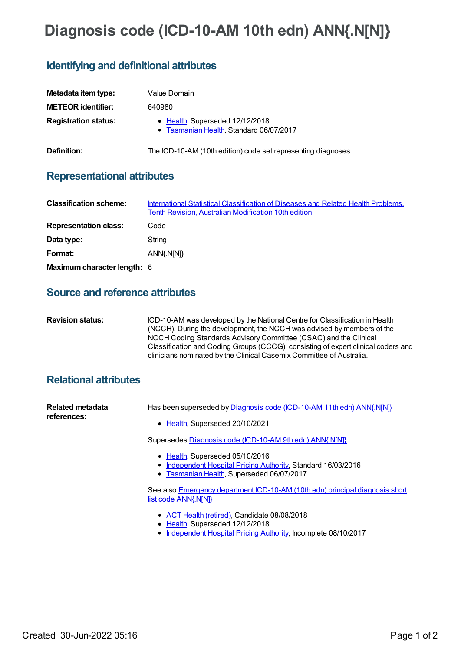# **Diagnosis code (ICD-10-AM 10th edn) ANN{.N[N]}**

## **Identifying and definitional attributes**

| Metadata item type:         | Value Domain                                                               |
|-----------------------------|----------------------------------------------------------------------------|
| <b>METEOR identifier:</b>   | 640980                                                                     |
| <b>Registration status:</b> | • Health, Superseded 12/12/2018<br>• Tasmanian Health, Standard 06/07/2017 |
| Definition:                 | The ICD-10-AM (10th edition) code set representing diagnoses.              |

#### **Representational attributes**

| <b>Classification scheme:</b> | International Statistical Classification of Diseases and Related Health Problems,<br>Tenth Revision, Australian Modification 10th edition |
|-------------------------------|-------------------------------------------------------------------------------------------------------------------------------------------|
| <b>Representation class:</b>  | Code                                                                                                                                      |
| Data type:                    | String                                                                                                                                    |
| Format:                       | ANN{.N[N]}                                                                                                                                |
| Maximum character length: 6   |                                                                                                                                           |

#### **Source and reference attributes**

| <b>Revision status:</b> | ICD-10-AM was developed by the National Centre for Classification in Health<br>(NCCH). During the development, the NCCH was advised by members of the<br>NCCH Coding Standards Advisory Committee (CSAC) and the Clinical<br>Classification and Coding Groups (CCCG), consisting of expert clinical coders and |
|-------------------------|----------------------------------------------------------------------------------------------------------------------------------------------------------------------------------------------------------------------------------------------------------------------------------------------------------------|
|                         | clinicians nominated by the Clinical Casemix Committee of Australia.                                                                                                                                                                                                                                           |

### **Relational attributes**

| Related metadata<br>references: | Has been superseded by Diagnosis code (ICD-10-AM 11th edn) ANN{.N[N]}                                                                         |
|---------------------------------|-----------------------------------------------------------------------------------------------------------------------------------------------|
|                                 | • Health, Superseded 20/10/2021                                                                                                               |
|                                 | Supersedes Diagnosis code (ICD-10-AM 9th edn) ANN{.N[N]}                                                                                      |
|                                 | • Health, Superseded 05/10/2016<br>• Independent Hospital Pricing Authority, Standard 16/03/2016<br>• Tasmanian Health, Superseded 06/07/2017 |
|                                 | See also Emergency department ICD-10-AM (10th edn) principal diagnosis short<br>list code ANN{.N[N]}                                          |

- ACT Health [\(retired\)](https://meteor.aihw.gov.au/RegistrationAuthority/9), Candidate 08/08/2018
- [Health](https://meteor.aihw.gov.au/RegistrationAuthority/12), Superseded 12/12/2018
- [Independent](https://meteor.aihw.gov.au/RegistrationAuthority/3) Hospital Pricing Authority, Incomplete 08/10/2017